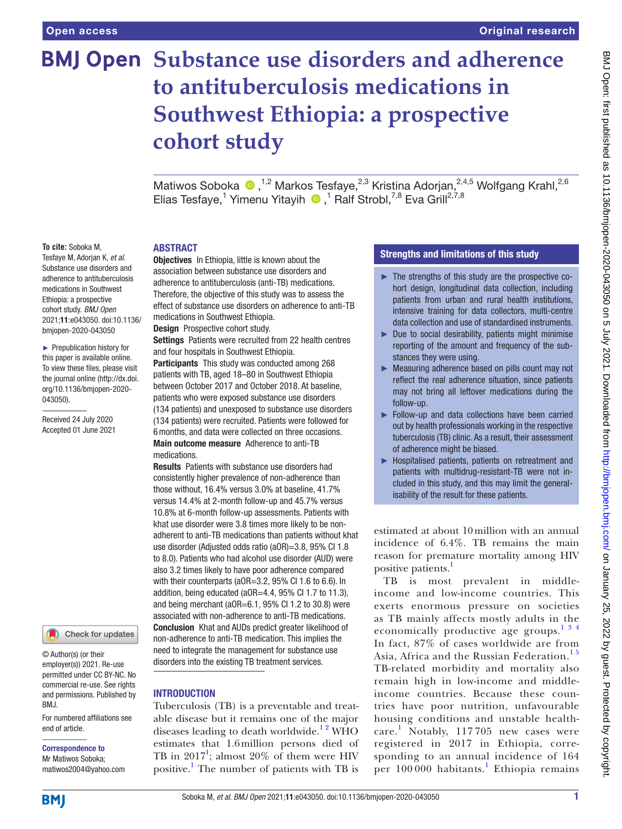# **BMJ Open Substance use disorders and adherence to antituberculosis medications in Southwest Ethiopia: a prospective cohort study**

MatiwosSoboka  $\bullet$ , <sup>1,2</sup> Markos Tesfaye, <sup>2,3</sup> Kristina Adorjan, <sup>2,4,5</sup> Wolfgang Krahl, <sup>2,6</sup> Elias Tesfaye,<sup>1</sup> Yimenu Yitayih <sup>n</sup>,<sup>1</sup> Ralf Strobl,<sup>7,8</sup> Eva Grill<sup>2,7,8</sup>

#### **To cite:** Soboka M,

Tesfaye M, Adorjan K, *et al*. Substance use disorders and adherence to antituberculosis medications in Southwest Ethiopia: a prospective cohort study. *BMJ Open* 2021;11:e043050. doi:10.1136/ bmjopen-2020-043050

► Prepublication history for this paper is available online. To view these files, please visit the journal online (http://dx.doi. org/10.1136/bmjopen-2020- 043050).

Received 24 July 2020 Accepted 01 June 2021



© Author(s) (or their employer(s)) 2021. Re-use permitted under CC BY-NC. No commercial re-use. See rights and permissions. Published by BMJ.

For numbered affiliations see end of article.

Correspondence to Mr Matiwos Soboka; matiwos2004@yahoo.com

#### ABSTRACT

**Objectives** In Ethiopia, little is known about the association between substance use disorders and adherence to antituberculosis (anti-TB) medications. Therefore, the objective of this study was to assess the effect of substance use disorders on adherence to anti-TB medications in Southwest Ethiopia.

Design Prospective cohort study.

Settings Patients were recruited from 22 health centres and four hospitals in Southwest Ethiopia.

Participants This study was conducted among 268 patients with TB, aged 18–80 in Southwest Ethiopia between October 2017 and October 2018. At baseline, patients who were exposed substance use disorders

(134 patients) and unexposed to substance use disorders (134 patients) were recruited. Patients were followed for 6months, and data were collected on three occasions. Main outcome measure Adherence to anti-TB medications.

Results Patients with substance use disorders had consistently higher prevalence of non-adherence than those without, 16.4% versus 3.0% at baseline, 41.7% versus 14.4% at 2-month follow-up and 45.7% versus 10.8% at 6-month follow-up assessments. Patients with khat use disorder were 3.8 times more likely to be nonadherent to anti-TB medications than patients without khat use disorder (Adjusted odds ratio (aOR)=3.8, 95% CI 1.8 to 8.0). Patients who had alcohol use disorder (AUD) were also 3.2 times likely to have poor adherence compared with their counterparts (aOR=3.2, 95% CI 1.6 to 6.6). In addition, being educated (aOR=4.4, 95% CI 1.7 to 11.3), and being merchant (aOR=6.1, 95% CI 1.2 to 30.8) were associated with non-adherence to anti-TB medications. **Conclusion** Khat and AUDs predict greater likelihood of non-adherence to anti-TB medication. This implies the need to integrate the management for substance use disorders into the existing TB treatment services.

## INTRODUCTION

Tuberculosis (TB) is a preventable and treatable disease but it remains one of the major diseases leading to death worldwide.<sup>12</sup> WHO estimates that 1.6million persons died of TB in  $2017^1$  $2017^1$  $2017^1$ ; almost  $20\%$  of them were HIV positive.<sup>[1](#page-8-0)</sup> The number of patients with TB is

## Strengths and limitations of this study

- ► The strengths of this study are the prospective cohort design, longitudinal data collection, including patients from urban and rural health institutions, intensive training for data collectors, multi-centre data collection and use of standardised instruments.
- ► Due to social desirability, patients might minimise reporting of the amount and frequency of the substances they were using.
- ► Measuring adherence based on pills count may not reflect the real adherence situation, since patients may not bring all leftover medications during the follow-up.
- ► Follow-up and data collections have been carried out by health professionals working in the respective tuberculosis (TB) clinic. As a result, their assessment of adherence might be biased.
- ► Hospitalised patients, patients on retreatment and patients with multidrug-resistant-TB were not included in this study, and this may limit the generalisability of the result for these patients.

estimated at about 10million with an annual incidence of 6.4%. TB remains the main reason for premature mortality among HIV positive patients.[1](#page-8-0)

TB is most prevalent in middleincome and low-income countries. This exerts enormous pressure on societies as TB mainly affects mostly adults in the economically productive age groups. $134$ In fact, 87% of cases worldwide are from Asia, Africa and the Russian Federation.<sup>15</sup> TB-related morbidity and mortality also remain high in low-income and middleincome countries. Because these countries have poor nutrition, unfavourable housing conditions and unstable healthcare. [1](#page-8-0) Notably, 117 705 new cases were registered in 2017 in Ethiopia, corresponding to an annual incidence of 164 per [1](#page-8-0)00 000 habitants.<sup>1</sup> Ethiopia remains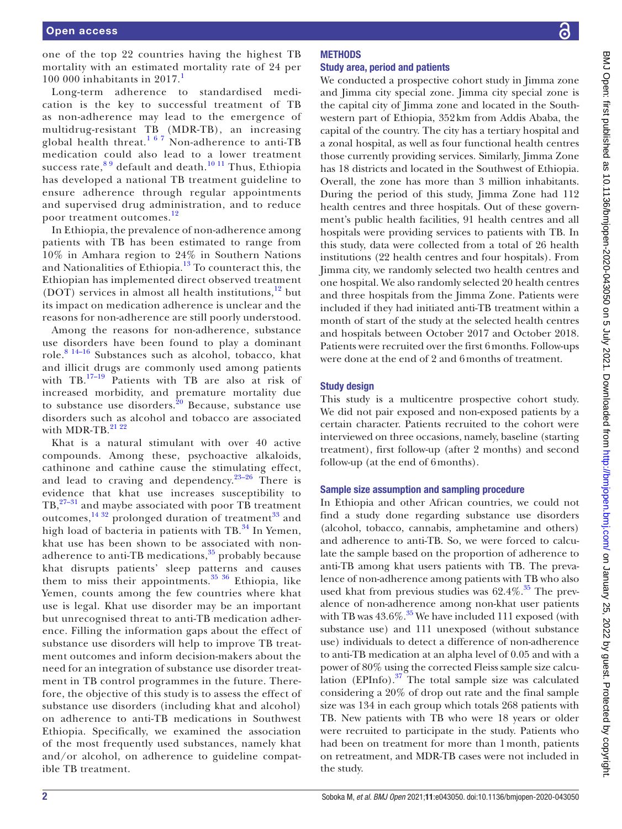one of the top 22 countries having the highest TB mortality with an estimated mortality rate of 24 per [1](#page-8-0)00 000 inhabitants in  $2017<sup>1</sup>$ 

Long-term adherence to standardised medication is the key to successful treatment of TB as non-adherence may lead to the emergence of multidrug-resistant TB (MDR-TB), an increasing global health threat.<sup>167</sup> Non-adherence to anti-TB medication could also lead to a lower treatment success rate,  $89$  default and death.<sup>10 11</sup> Thus, Ethiopia has developed a national TB treatment guideline to ensure adherence through regular appointments and supervised drug administration, and to reduce poor treatment outcomes.<sup>[12](#page-8-3)</sup>

In Ethiopia, the prevalence of non-adherence among patients with TB has been estimated to range from 10% in Amhara region to 24% in Southern Nations and Nationalities of Ethiopia.[13](#page-8-4) To counteract this, the Ethiopian has implemented direct observed treatment (DOT) services in almost all health institutions, $12$  but its impact on medication adherence is unclear and the reasons for non-adherence are still poorly understood.

Among the reasons for non-adherence, substance use disorders have been found to play a dominant role.[8 14–16](#page-8-1) Substances such as alcohol, tobacco, khat and illicit drugs are commonly used among patients with TB.<sup>17-19</sup> Patients with TB are also at risk of increased morbidity, and premature mortality due to substance use disorders. $20$  Because, substance use disorders such as alcohol and tobacco are associated with MDR-TB. $^{21}$   $^{22}$ 

Khat is a natural stimulant with over 40 active compounds. Among these, psychoactive alkaloids, cathinone and cathine cause the stimulating effect, and lead to craving and dependency.<sup>23-26</sup> There is evidence that khat use increases susceptibility to  $TB$ ,  $27-31$  and maybe associated with poor TB treatment outcomes,<sup>[14 32](#page-8-10)</sup> prolonged duration of treatment<sup>33</sup> and high load of bacteria in patients with  $TB<sup>34</sup>$  In Yemen, khat use has been shown to be associated with non-adherence to anti-TB medications,<sup>[35](#page-8-13)</sup> probably because khat disrupts patients' sleep patterns and causes them to miss their appointments. $35 \frac{36}{10}$  Ethiopia, like Yemen, counts among the few countries where khat use is legal. Khat use disorder may be an important but unrecognised threat to anti-TB medication adherence. Filling the information gaps about the effect of substance use disorders will help to improve TB treatment outcomes and inform decision-makers about the need for an integration of substance use disorder treatment in TB control programmes in the future. Therefore, the objective of this study is to assess the effect of substance use disorders (including khat and alcohol) on adherence to anti-TB medications in Southwest Ethiopia. Specifically, we examined the association of the most frequently used substances, namely khat and/or alcohol, on adherence to guideline compatible TB treatment.

## We conducted a prospective cohort study in Jimma zone and Jimma city special zone. Jimma city special zone is the capital city of Jimma zone and located in the Southwestern part of Ethiopia, 352km from Addis Ababa, the capital of the country. The city has a tertiary hospital and a zonal hospital, as well as four functional health centres those currently providing services. Similarly, Jimma Zone has 18 districts and located in the Southwest of Ethiopia. Overall, the zone has more than 3 million inhabitants. During the period of this study, Jimma Zone had 112 health centres and three hospitals. Out of these government's public health facilities, 91 health centres and all hospitals were providing services to patients with TB. In this study, data were collected from a total of 26 health institutions (22 health centres and four hospitals). From Jimma city, we randomly selected two health centres and one hospital. We also randomly selected 20 health centres and three hospitals from the Jimma Zone. Patients were included if they had initiated anti-TB treatment within a month of start of the study at the selected health centres and hospitals between October 2017 and October 2018. Patients were recruited over the first 6months. Follow-ups were done at the end of 2 and 6months of treatment.

#### Study design

This study is a multicentre prospective cohort study. We did not pair exposed and non-exposed patients by a certain character. Patients recruited to the cohort were interviewed on three occasions, namely, baseline (starting treatment), first follow-up (after 2 months) and second follow-up (at the end of 6months).

#### Sample size assumption and sampling procedure

In Ethiopia and other African countries, we could not find a study done regarding substance use disorders (alcohol, tobacco, cannabis, amphetamine and others) and adherence to anti-TB. So, we were forced to calculate the sample based on the proportion of adherence to anti-TB among khat users patients with TB. The prevalence of non-adherence among patients with TB who also used khat from previous studies was  $62.4\%$ .<sup>35</sup> The prevalence of non-adherence among non-khat user patients with TB was  $43.6\%$ .<sup>35</sup> We have included 111 exposed (with substance use) and 111 unexposed (without substance use) individuals to detect a difference of non-adherence to anti-TB medication at an alpha level of 0.05 and with a power of 80% using the corrected Fleiss sample size calculation  $(EPInfo)$ .<sup>[37](#page-8-14)</sup> The total sample size was calculated considering a 20% of drop out rate and the final sample size was 134 in each group which totals 268 patients with TB. New patients with TB who were 18 years or older were recruited to participate in the study. Patients who had been on treatment for more than 1month, patients on retreatment, and MDR-TB cases were not included in the study.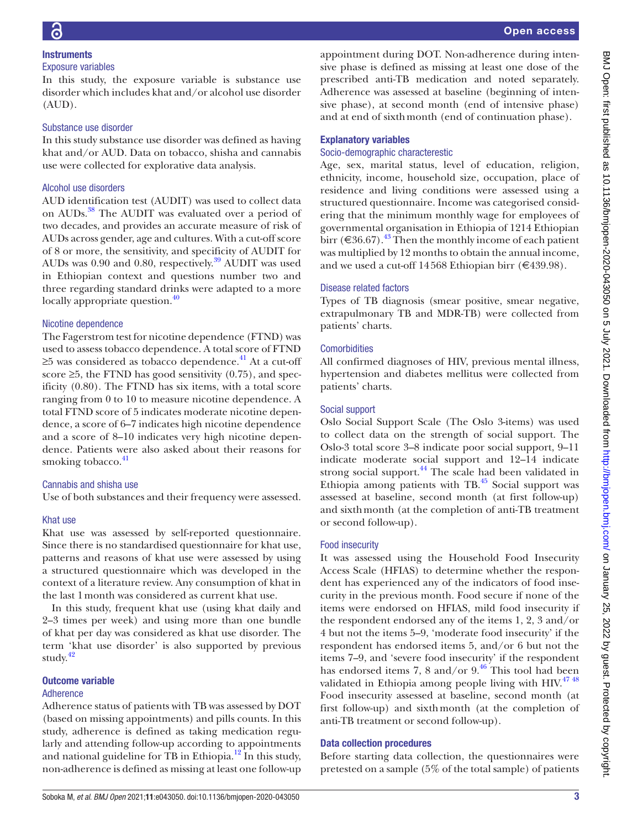In this study, the exposure variable is substance use disorder which includes khat and/or alcohol use disorder (AUD).

## Substance use disorder

In this study substance use disorder was defined as having khat and/or AUD. Data on tobacco, shisha and cannabis use were collected for explorative data analysis.

# Alcohol use disorders

AUD identification test (AUDIT) was used to collect data on AUDs.<sup>38</sup> The AUDIT was evaluated over a period of two decades, and provides an accurate measure of risk of AUDs across gender, age and cultures. With a cut-off score of 8 or more, the sensitivity, and specificity of AUDIT for AUDs was 0.90 and 0.80, respectively.<sup>39</sup> AUDIT was used in Ethiopian context and questions number two and three regarding standard drinks were adapted to a more locally appropriate question.<sup>[40](#page-8-17)</sup>

## Nicotine dependence

The Fagerstrom test for nicotine dependence (FTND) was used to assess tobacco dependence. A total score of FTND ≥5 was considered as tobacco dependence.<sup>[41](#page-8-18)</sup> At a cut-off score  $\geq$ 5, the FTND has good sensitivity (0.75), and specificity (0.80). The FTND has six items, with a total score ranging from 0 to 10 to measure nicotine dependence. A total FTND score of 5 indicates moderate nicotine dependence, a score of 6–7 indicates high nicotine dependence and a score of 8–10 indicates very high nicotine dependence. Patients were also asked about their reasons for smoking tobacco. $41$ 

# Cannabis and shisha use

Use of both substances and their frequency were assessed.

## Khat use

Khat use was assessed by self-reported questionnaire. Since there is no standardised questionnaire for khat use, patterns and reasons of khat use were assessed by using a structured questionnaire which was developed in the context of a literature review. Any consumption of khat in the last 1month was considered as current khat use.

In this study, frequent khat use (using khat daily and 2–3 times per week) and using more than one bundle of khat per day was considered as khat use disorder. The term 'khat use disorder' is also supported by previous study.<sup>42</sup>

# Outcome variable

# Adherence

Adherence status of patients with TB was assessed by DOT (based on missing appointments) and pills counts. In this study, adherence is defined as taking medication regularly and attending follow-up according to appointments and national guideline for TB in Ethiopia. $^{12}$  $^{12}$  $^{12}$  In this study, non-adherence is defined as missing at least one follow-up

appointment during DOT. Non-adherence during intensive phase is defined as missing at least one dose of the prescribed anti-TB medication and noted separately. Adherence was assessed at baseline (beginning of intensive phase), at second month (end of intensive phase) and at end of sixthmonth (end of continuation phase).

# Explanatory variables

## Socio-demographic characterestic

Age, sex, marital status, level of education, religion, ethnicity, income, household size, occupation, place of residence and living conditions were assessed using a structured questionnaire. Income was categorised considering that the minimum monthly wage for employees of governmental organisation in Ethiopia of 1214 Ethiopian birr (€36.67).<sup>[43](#page-8-20)</sup> Then the monthly income of each patient was multiplied by 12 months to obtain the annual income, and we used a cut-off 14568 Ethiopian birr (€439.98).

# Disease related factors

Types of TB diagnosis (smear positive, smear negative, extrapulmonary TB and MDR-TB) were collected from patients' charts.

## **Comorbidities**

All confirmed diagnoses of HIV, previous mental illness, hypertension and diabetes mellitus were collected from patients' charts.

## Social support

Oslo Social Support Scale (The Oslo 3-items) was used to collect data on the strength of social support. The Oslo-3 total score 3–8 indicate poor social support, 9–11 indicate moderate social support and 12–14 indicate strong social support.<sup>44</sup> The scale had been validated in Ethiopia among patients with  $TB<sup>45</sup>$  Social support was assessed at baseline, second month (at first follow-up) and sixthmonth (at the completion of anti-TB treatment or second follow-up).

## Food insecurity

It was assessed using the Household Food Insecurity Access Scale (HFIAS) to determine whether the respondent has experienced any of the indicators of food insecurity in the previous month. Food secure if none of the items were endorsed on HFIAS, mild food insecurity if the respondent endorsed any of the items 1, 2, 3 and/or 4 but not the items 5–9, 'moderate food insecurity' if the respondent has endorsed items 5, and/or 6 but not the items 7–9, and 'severe food insecurity' if the respondent has endorsed items 7, 8 and/or  $9<sup>46</sup>$ . This tool had been validated in Ethiopia among people living with  $H_1 + W_1 + W_2 + W_3$ Food insecurity assessed at baseline, second month (at first follow-up) and sixthmonth (at the completion of anti-TB treatment or second follow-up).

# Data collection procedures

Before starting data collection, the questionnaires were pretested on a sample (5% of the total sample) of patients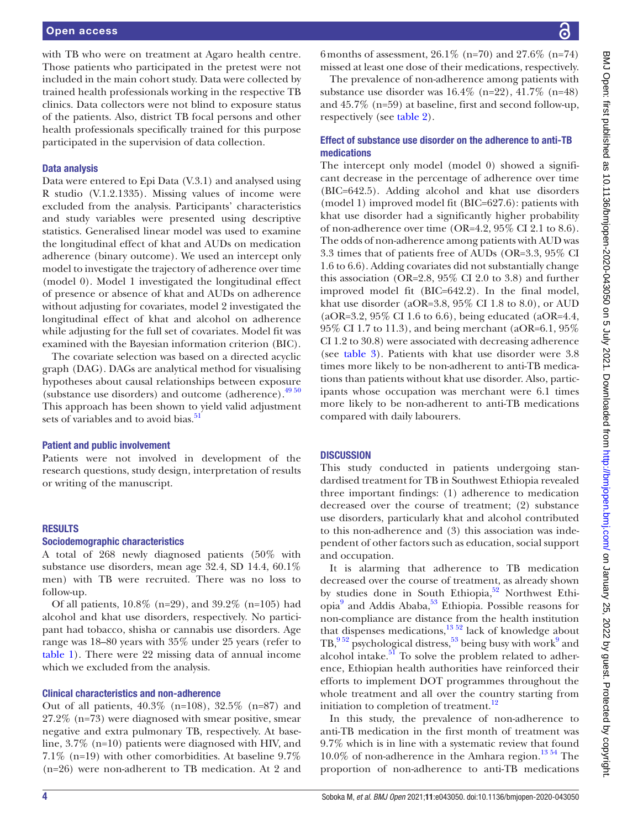with TB who were on treatment at Agaro health centre. Those patients who participated in the pretest were not included in the main cohort study. Data were collected by trained health professionals working in the respective TB clinics. Data collectors were not blind to exposure status of the patients. Also, district TB focal persons and other health professionals specifically trained for this purpose participated in the supervision of data collection.

## Data analysis

Data were entered to Epi Data (V.3.1) and analysed using R studio (V.1.2.1335). Missing values of income were excluded from the analysis. Participants' characteristics and study variables were presented using descriptive statistics. Generalised linear model was used to examine the longitudinal effect of khat and AUDs on medication adherence (binary outcome). We used an intercept only model to investigate the trajectory of adherence over time (model 0). Model 1 investigated the longitudinal effect of presence or absence of khat and AUDs on adherence without adjusting for covariates, model 2 investigated the longitudinal effect of khat and alcohol on adherence while adjusting for the full set of covariates. Model fit was examined with the Bayesian information criterion (BIC).

The covariate selection was based on a directed acyclic graph (DAG). DAGs are analytical method for visualising hypotheses about causal relationships between exposure (substance use disorders) and outcome (adherence).<sup>4950</sup> This approach has been shown to yield valid adjustment sets of variables and to avoid bias.<sup>[51](#page-9-1)</sup>

## Patient and public involvement

Patients were not involved in development of the research questions, study design, interpretation of results or writing of the manuscript.

## RESULTS

## Sociodemographic characteristics

A total of 268 newly diagnosed patients (50% with substance use disorders, mean age 32.4, SD 14.4, 60.1% men) with TB were recruited. There was no loss to follow-up.

Of all patients, 10.8% (n=29), and 39.2% (n=105) had alcohol and khat use disorders, respectively. No participant had tobacco, shisha or cannabis use disorders. Age range was 18–80 years with 35% under 25 years (refer to [table](#page-4-0) 1). There were 22 missing data of annual income which we excluded from the analysis.

## Clinical characteristics and non-adherence

Out of all patients, 40.3% (n=108), 32.5% (n=87) and 27.2% (n=73) were diagnosed with smear positive, smear negative and extra pulmonary TB, respectively. At baseline, 3.7% (n=10) patients were diagnosed with HIV, and 7.1% (n=19) with other comorbidities. At baseline 9.7% (n=26) were non-adherent to TB medication. At 2 and

6 months of assessment,  $26.1\%$  (n=70) and  $27.6\%$  (n=74) missed at least one dose of their medications, respectively.

The prevalence of non-adherence among patients with substance use disorder was 16.4% (n=22), 41.7% (n=48) and 45.7% (n=59) at baseline, first and second follow-up, respectively (see [table](#page-5-0) 2).

## Effect of substance use disorder on the adherence to anti-TB medications

The intercept only model (model 0) showed a significant decrease in the percentage of adherence over time (BIC=642.5). Adding alcohol and khat use disorders (model 1) improved model fit (BIC=627.6): patients with khat use disorder had a significantly higher probability of non-adherence over time (OR=4.2, 95% CI 2.1 to 8.6). The odds of non-adherence among patients with AUD was 3.3 times that of patients free of AUDs (OR=3.3, 95% CI 1.6 to 6.6). Adding covariates did not substantially change this association (OR=2.8,  $95\%$  CI 2.0 to 3.8) and further improved model fit (BIC=642.2). In the final model, khat use disorder (aOR=3.8,  $95\%$  CI 1.8 to 8.0), or AUD (aOR=3.2, 95% CI 1.6 to 6.6), being educated (aOR=4.4, 95% CI 1.7 to 11.3), and being merchant (aOR=6.1, 95% CI 1.2 to 30.8) were associated with decreasing adherence (see [table](#page-6-0) 3). Patients with khat use disorder were 3.8 times more likely to be non-adherent to anti-TB medications than patients without khat use disorder. Also, participants whose occupation was merchant were 6.1 times more likely to be non-adherent to anti-TB medications compared with daily labourers.

## **DISCUSSION**

This study conducted in patients undergoing standardised treatment for TB in Southwest Ethiopia revealed three important findings: (1) adherence to medication decreased over the course of treatment; (2) substance use disorders, particularly khat and alcohol contributed to this non-adherence and (3) this association was independent of other factors such as education, social support and occupation.

It is alarming that adherence to TB medication decreased over the course of treatment, as already shown by studies done in South Ethiopia, $52$  Northwest Ethi-opia<sup>[9](#page-8-25)</sup> and Addis Ababa,<sup>53</sup> Ethiopia. Possible reasons for non-compliance are distance from the health institution  $t_{\text{total}}$  dispenses medications, $13\overline{52}$  lack of knowledge about  $TB<sup>952</sup>$  psychological distress,<sup>53</sup> being busy with work<sup>9</sup> and alcohol intake. $51$  To solve the problem related to adherence, Ethiopian health authorities have reinforced their efforts to implement DOT programmes throughout the whole treatment and all over the country starting from initiation to completion of treatment.<sup>[12](#page-8-3)</sup>

In this study, the prevalence of non-adherence to anti-TB medication in the first month of treatment was 9.7% which is in line with a systematic review that found  $10.0\%$  of non-adherence in the Amhara region.<sup>13 54</sup> The proportion of non-adherence to anti-TB medications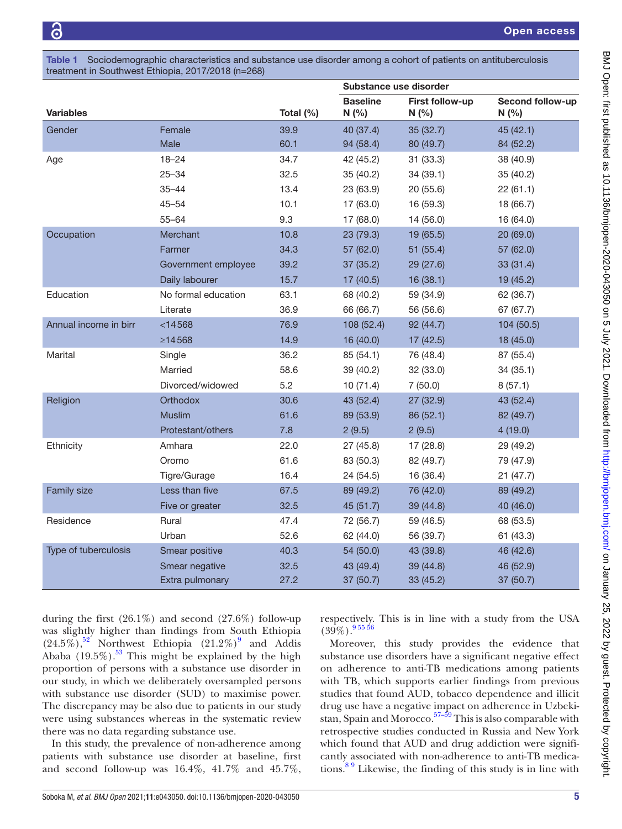<span id="page-4-0"></span>Table 1 Sociodemographic characteristics and substance use disorder among a cohort of patients on antituberculosis treatment in Southwest Ethiopia, 2017/2018 (n=268)

|                       |                     |           | Substance use disorder   |                          |                           |  |
|-----------------------|---------------------|-----------|--------------------------|--------------------------|---------------------------|--|
| <b>Variables</b>      |                     | Total (%) | <b>Baseline</b><br>N(% ) | First follow-up<br>N(% ) | Second follow-up<br>N(% ) |  |
| Gender                | Female              | 39.9      | 40 (37.4)                | 35 (32.7)                | 45 (42.1)                 |  |
|                       | Male                | 60.1      | 94 (58.4)                | 80 (49.7)                | 84 (52.2)                 |  |
| Age                   | $18 - 24$           | 34.7      | 42 (45.2)                | 31(33.3)                 | 38 (40.9)                 |  |
|                       | $25 - 34$           | 32.5      | 35 (40.2)                | 34(39.1)                 | 35 (40.2)                 |  |
|                       | $35 - 44$           | 13.4      | 23 (63.9)                | 20 (55.6)                | 22(61.1)                  |  |
|                       | $45 - 54$           | 10.1      | 17 (63.0)                | 16 (59.3)                | 18 (66.7)                 |  |
|                       | $55 - 64$           | 9.3       | 17 (68.0)                | 14(56.0)                 | 16 (64.0)                 |  |
| Occupation            | Merchant            | 10.8      | 23 (79.3)                | 19 (65.5)                | 20 (69.0)                 |  |
|                       | Farmer              | 34.3      | 57 (62.0)                | 51 (55.4)                | 57 (62.0)                 |  |
|                       | Government employee | 39.2      | 37 (35.2)                | 29 (27.6)                | 33(31.4)                  |  |
|                       | Daily labourer      | 15.7      | 17(40.5)                 | 16(38.1)                 | 19 (45.2)                 |  |
| Education             | No formal education | 63.1      | 68 (40.2)                | 59 (34.9)                | 62 (36.7)                 |  |
|                       | Literate            | 36.9      | 66 (66.7)                | 56 (56.6)                | 67 (67.7)                 |  |
| Annual income in birr | $<$ 14568           | 76.9      | 108 (52.4)               | 92(44.7)                 | 104 (50.5)                |  |
|                       | $\geq$ 14568        | 14.9      | 16(40.0)                 | 17(42.5)                 | 18 (45.0)                 |  |
| Marital               | Single              | 36.2      | 85 (54.1)                | 76 (48.4)                | 87 (55.4)                 |  |
|                       | Married             | 58.6      | 39 (40.2)                | 32 (33.0)                | 34 (35.1)                 |  |
|                       | Divorced/widowed    | 5.2       | 10(71.4)                 | 7(50.0)                  | 8(57.1)                   |  |
| Religion              | <b>Orthodox</b>     | 30.6      | 43 (52.4)                | 27 (32.9)                | 43 (52.4)                 |  |
|                       | Muslim              | 61.6      | 89 (53.9)                | 86 (52.1)                | 82 (49.7)                 |  |
|                       | Protestant/others   | 7.8       | 2(9.5)                   | 2(9.5)                   | 4(19.0)                   |  |
| Ethnicity             | Amhara              | 22.0      | 27 (45.8)                | 17 (28.8)                | 29 (49.2)                 |  |
|                       | Oromo               | 61.6      | 83 (50.3)                | 82 (49.7)                | 79 (47.9)                 |  |
|                       | Tigre/Gurage        | 16.4      | 24 (54.5)                | 16 (36.4)                | 21(47.7)                  |  |
| Family size           | Less than five      | 67.5      | 89 (49.2)                | 76 (42.0)                | 89 (49.2)                 |  |
|                       | Five or greater     | 32.5      | 45 (51.7)                | 39 (44.8)                | 40 (46.0)                 |  |
| Residence             | Rural               | 47.4      | 72 (56.7)                | 59 (46.5)                | 68 (53.5)                 |  |
|                       | Urban               | 52.6      | 62 (44.0)                | 56 (39.7)                | 61(43.3)                  |  |
| Type of tuberculosis  | Smear positive      | 40.3      | 54 (50.0)                | 43 (39.8)                | 46 (42.6)                 |  |
|                       | Smear negative      | 32.5      | 43 (49.4)                | 39 (44.8)                | 46 (52.9)                 |  |
|                       | Extra pulmonary     | 27.2      | 37 (50.7)                | 33(45.2)                 | 37 (50.7)                 |  |

during the first  $(26.1\%)$  and second  $(27.6\%)$  follow-up was slightly higher than findings from South Ethiopia  $(24.5\%)$ ,<sup>52</sup> Northwest Ethiopia  $(21.2\%)$ <sup>[9](#page-8-25)</sup> and Addis Ababa  $(19.5\%)$ .<sup>[53](#page-9-3)</sup> This might be explained by the high proportion of persons with a substance use disorder in our study, in which we deliberately oversampled persons with substance use disorder (SUD) to maximise power. The discrepancy may be also due to patients in our study were using substances whereas in the systematic review there was no data regarding substance use.

In this study, the prevalence of non-adherence among patients with substance use disorder at baseline, first and second follow-up was 16.4%, 41.7% and 45.7%,

respectively. This is in line with a study from the USA  $(39\%)$ . [9 55 56](#page-8-25)

Moreover, this study provides the evidence that substance use disorders have a significant negative effect on adherence to anti-TB medications among patients with TB, which supports earlier findings from previous studies that found AUD, tobacco dependence and illicit drug use have a negative impact on adherence in Uzbekistan, Spain and Morocco.<sup>57–59</sup> This is also comparable with retrospective studies conducted in Russia and New York which found that AUD and drug addiction were significantly associated with non-adherence to anti-TB medications.<sup>89</sup> Likewise, the finding of this study is in line with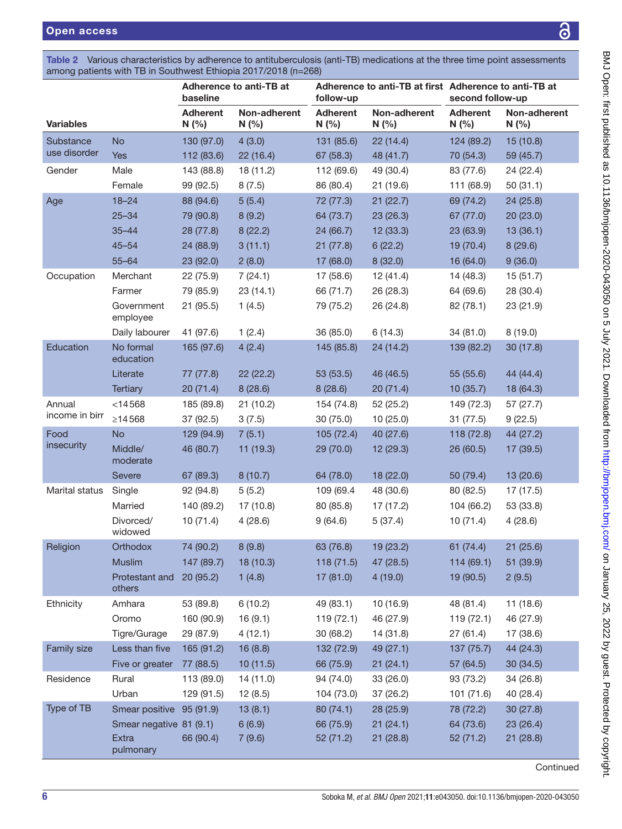<span id="page-5-0"></span>

| Table 2 Various characteristics by adherence to antituberculosis (anti-TB) medications at the three time point assessments |  |  |
|----------------------------------------------------------------------------------------------------------------------------|--|--|
| among patients with TB in Southwest Ethiopia 2017/2018 (n=268)                                                             |  |  |

|                        |                                                     | Adherence to anti-TB at<br>Adherence to anti-TB at first Adherence to anti-TB at<br>baseline<br>follow-up                              |                                                                             | second follow-up                                                            |                                                                                     |                                                                 |
|------------------------|-----------------------------------------------------|----------------------------------------------------------------------------------------------------------------------------------------|-----------------------------------------------------------------------------|-----------------------------------------------------------------------------|-------------------------------------------------------------------------------------|-----------------------------------------------------------------|
|                        | <b>Adherent</b><br>N(% )                            | Non-adherent<br>N(%                                                                                                                    | <b>Adherent</b><br>N(%                                                      | Non-adherent<br>N(%                                                         | <b>Adherent</b><br>N(%                                                              | Non-adherent<br>N(%                                             |
| <b>No</b>              | 130 (97.0)                                          | 4(3.0)                                                                                                                                 | 131 (85.6)                                                                  | 22(14.4)                                                                    | 124 (89.2)                                                                          | 15 (10.8)                                                       |
| Yes                    | 112 (83.6)                                          | 22(16.4)                                                                                                                               | 67 (58.3)                                                                   | 48 (41.7)                                                                   | 70 (54.3)                                                                           | 59 (45.7)                                                       |
| Male                   | 143 (88.8)                                          | 18 (11.2)                                                                                                                              | 112 (69.6)                                                                  | 49 (30.4)                                                                   | 83 (77.6)                                                                           | 24 (22.4)                                                       |
| Female                 | 99 (92.5)                                           | 8(7.5)                                                                                                                                 | 86 (80.4)                                                                   | 21 (19.6)                                                                   | 111 (68.9)                                                                          | 50(31.1)                                                        |
| $18 - 24$              | 88 (94.6)                                           | 5(5.4)                                                                                                                                 | 72 (77.3)                                                                   | 21(22.7)                                                                    | 69 (74.2)                                                                           | 24(25.8)                                                        |
| $25 - 34$              | 79 (90.8)                                           | 8(9.2)                                                                                                                                 | 64 (73.7)                                                                   | 23 (26.3)                                                                   | 67 (77.0)                                                                           | 20(23.0)                                                        |
| $35 - 44$              | 28 (77.8)                                           | 8(22.2)                                                                                                                                | 24 (66.7)                                                                   | 12 (33.3)                                                                   | 23 (63.9)                                                                           | 13(36.1)                                                        |
| $45 - 54$              | 24 (88.9)                                           | 3(11.1)                                                                                                                                | 21(77.8)                                                                    | 6(22.2)                                                                     | 19 (70.4)                                                                           | 8(29.6)                                                         |
| $55 - 64$              | 23(92.0)                                            | 2(8.0)                                                                                                                                 | 17(68.0)                                                                    | 8(32.0)                                                                     | 16 (64.0)                                                                           | 9(36.0)                                                         |
| Merchant               | 22 (75.9)                                           | 7(24.1)                                                                                                                                | 17 (58.6)                                                                   | 12(41.4)                                                                    | 14 (48.3)                                                                           | 15(51.7)                                                        |
| Farmer                 | 79 (85.9)                                           | 23(14.1)                                                                                                                               | 66 (71.7)                                                                   | 26 (28.3)                                                                   | 64 (69.6)                                                                           | 28 (30.4)                                                       |
| Government<br>employee | 21 (95.5)                                           | 1(4.5)                                                                                                                                 | 79 (75.2)                                                                   | 26 (24.8)                                                                   | 82 (78.1)                                                                           | 23 (21.9)                                                       |
| Daily labourer         | 41 (97.6)                                           | 1(2.4)                                                                                                                                 | 36(85.0)                                                                    | 6(14.3)                                                                     | 34 (81.0)                                                                           | 8(19.0)                                                         |
| No formal<br>education | 165 (97.6)                                          | 4(2.4)                                                                                                                                 | 145 (85.8)                                                                  | 24 (14.2)                                                                   | 139 (82.2)                                                                          | 30 (17.8)                                                       |
| Literate               | 77 (77.8)                                           | 22(22.2)                                                                                                                               | 53 (53.5)                                                                   | 46 (46.5)                                                                   | 55 (55.6)                                                                           | 44 (44.4)                                                       |
| <b>Tertiary</b>        | 20(71.4)                                            | 8(28.6)                                                                                                                                | 8(28.6)                                                                     | 20(71.4)                                                                    | 10(35.7)                                                                            | 18 (64.3)                                                       |
| $<$ 14568              | 185 (89.8)                                          | 21(10.2)                                                                                                                               | 154 (74.8)                                                                  | 52 (25.2)                                                                   | 149 (72.3)                                                                          | 57 (27.7)                                                       |
| ≥14568                 | 37 (92.5)                                           | 3(7.5)                                                                                                                                 | 30(75.0)                                                                    | 10(25.0)                                                                    | 31 (77.5)                                                                           | 9(22.5)                                                         |
| <b>No</b>              | 129 (94.9)                                          | 7(5.1)                                                                                                                                 | 105(72.4)                                                                   | 40 (27.6)                                                                   | 118 (72.8)                                                                          | 44 (27.2)                                                       |
| Middle/<br>moderate    | 46 (80.7)                                           | 11 (19.3)                                                                                                                              | 29(70.0)                                                                    | 12 (29.3)                                                                   | 26 (60.5)                                                                           | 17 (39.5)                                                       |
| <b>Severe</b>          | 67 (89.3)                                           | 8(10.7)                                                                                                                                | 64 (78.0)                                                                   | 18 (22.0)                                                                   | 50 (79.4)                                                                           | 13 (20.6)                                                       |
| Single                 | 92 (94.8)                                           | 5(5.2)                                                                                                                                 | 109 (69.4                                                                   | 48 (30.6)                                                                   | 80 (82.5)                                                                           | 17(17.5)                                                        |
| Married                | 140 (89.2)                                          | 17 (10.8)                                                                                                                              | 80 (85.8)                                                                   | 17(17.2)                                                                    | 104 (66.2)                                                                          | 53 (33.8)                                                       |
| Divorced/<br>widowed   | 10(71.4)                                            | 4(28.6)                                                                                                                                | 9(64.6)                                                                     |                                                                             | 10(71.4)                                                                            | 4(28.6)                                                         |
| Orthodox               | 74 (90.2)                                           | 8(9.8)                                                                                                                                 | 63 (76.8)                                                                   | 19(23.2)                                                                    | 61 (74.4)                                                                           | 21(25.6)                                                        |
| <b>Muslim</b>          | 147 (89.7)                                          | 18(10.3)                                                                                                                               | 118(71.5)                                                                   | 47 (28.5)                                                                   | 114(69.1)                                                                           | 51 (39.9)                                                       |
| others                 |                                                     | 1(4.8)                                                                                                                                 | 17(81.0)                                                                    | 4(19.0)                                                                     | 19(90.5)                                                                            | 2(9.5)                                                          |
| Amhara                 | 53 (89.8)                                           |                                                                                                                                        | 49 (83.1)                                                                   | 10 (16.9)                                                                   | 48 (81.4)                                                                           | 11(18.6)                                                        |
| Oromo                  | 160 (90.9)                                          | 16(9.1)                                                                                                                                | 119(72.1)                                                                   | 46 (27.9)                                                                   | 119(72.1)                                                                           | 46 (27.9)                                                       |
| Tigre/Gurage           | 29 (87.9)                                           | 4(12.1)                                                                                                                                | 30 (68.2)                                                                   | 14(31.8)                                                                    | 27(61.4)                                                                            | 17 (38.6)                                                       |
|                        |                                                     |                                                                                                                                        |                                                                             |                                                                             |                                                                                     | 44 (24.3)                                                       |
|                        |                                                     |                                                                                                                                        |                                                                             |                                                                             | 57 (64.5)                                                                           | 30 (34.5)                                                       |
|                        |                                                     |                                                                                                                                        |                                                                             |                                                                             |                                                                                     | 34 (26.8)                                                       |
|                        |                                                     |                                                                                                                                        |                                                                             |                                                                             |                                                                                     | 40 (28.4)                                                       |
|                        |                                                     |                                                                                                                                        |                                                                             |                                                                             |                                                                                     | 30(27.8)                                                        |
| Extra<br>pulmonary     | 66 (90.4)                                           | 7(9.6)                                                                                                                                 | 52 (71.2)                                                                   | 21(28.8)                                                                    | 52 (71.2)                                                                           | 23 (26.4)<br>21(28.8)                                           |
|                        | Less than five<br>Five or greater<br>Rural<br>Urban | Protestant and 20 (95.2)<br>165 (91.2)<br>77 (88.5)<br>113 (89.0)<br>129 (91.5)<br>Smear positive 95 (91.9)<br>Smear negative 81 (9.1) | 6(10.2)<br>16(8.8)<br>10(11.5)<br>14 (11.0)<br>12(8.5)<br>13(8.1)<br>6(6.9) | 132 (72.9)<br>66 (75.9)<br>94 (74.0)<br>104 (73.0)<br>80(74.1)<br>66 (75.9) | 5(37.4)<br>49 (27.1)<br>21(24.1)<br>33 (26.0)<br>37 (26.2)<br>28 (25.9)<br>21(24.1) | 137 (75.7)<br>93 (73.2)<br>101 (71.6)<br>78 (72.2)<br>64 (73.6) |

ခြ

**Continued**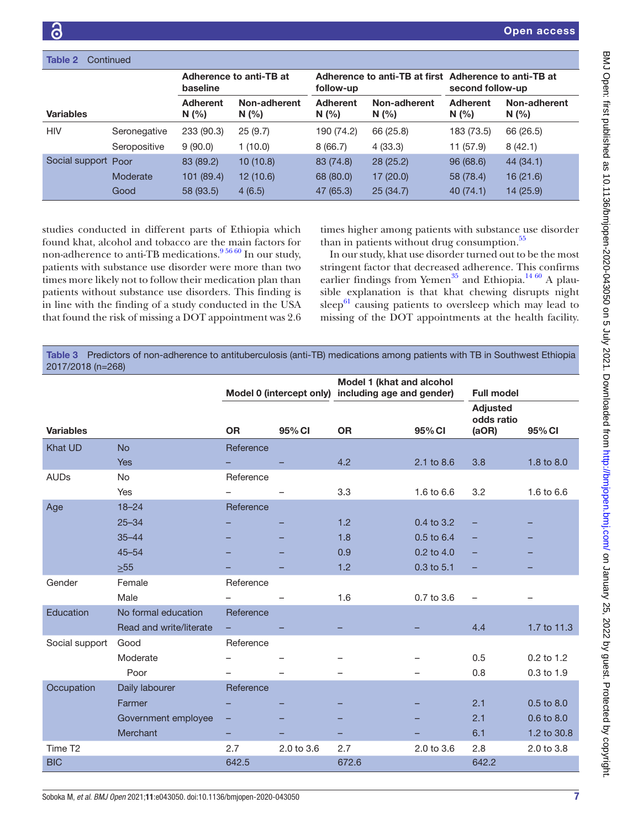| Table 2<br>Continued |              |                                     |                      |                                                                    |                      |                         |                      |
|----------------------|--------------|-------------------------------------|----------------------|--------------------------------------------------------------------|----------------------|-------------------------|----------------------|
|                      |              | Adherence to anti-TB at<br>baseline |                      | Adherence to anti-TB at first Adherence to anti-TB at<br>follow-up |                      | second follow-up        |                      |
| <b>Variables</b>     |              | <b>Adherent</b><br>N(%)             | Non-adherent<br>N(%) | <b>Adherent</b><br>N(%)                                            | Non-adherent<br>N(%) | <b>Adherent</b><br>N(%) | Non-adherent<br>N(%) |
| <b>HIV</b>           | Seronegative | 233 (90.3)                          | 25(9.7)              | 190 (74.2)                                                         | 66 (25.8)            | 183 (73.5)              | 66 (26.5)            |
|                      | Seropositive | 9(90.0)                             | 1(10.0)              | 8(66.7)                                                            | 4(33.3)              | 11 (57.9)               | 8(42.1)              |
| Social support Poor  |              | 83 (89.2)                           | 10(10.8)             | 83 (74.8)                                                          | 28(25.2)             | 96(68.6)                | 44 (34.1)            |
|                      | Moderate     | 101 (89.4)                          | 12(10.6)             | 68 (80.0)                                                          | 17(20.0)             | 58 (78.4)               | 16(21.6)             |
|                      | Good         | 58 (93.5)                           | 4(6.5)               | 47 (65.3)                                                          | 25(34.7)             | 40(74.1)                | 14 (25.9)            |

studies conducted in different parts of Ethiopia which found khat, alcohol and tobacco are the main factors for non-adherence to anti-TB medications.<sup>956 60</sup> In our study, patients with substance use disorder were more than two times more likely not to follow their medication plan than patients without substance use disorders. This finding is in line with the finding of a study conducted in the USA that found the risk of missing a DOT appointment was 2.6

times higher among patients with substance use disorder than in patients without drug consumption.<sup>55</sup>

In our study, khat use disorder turned out to be the most stringent factor that decreased adherence. This confirms earlier findings from Yemen<sup>[35](#page-8-13)</sup> and Ethiopia.<sup>[14 60](#page-8-10)</sup> A plausible explanation is that khat chewing disrupts night sleep $^{61}$  causing patients to oversleep which may lead to missing of the DOT appointments at the health facility.

<span id="page-6-0"></span>Table 3 Predictors of non-adherence to antituberculosis (anti-TB) medications among patients with TB in Southwest Ethiopia 2017/2018 (n=268)

|                     |                         |           |            | Model 1 (khat and alcohol<br>Model 0 (intercept only) including age and gender) |            |                                                             |                |
|---------------------|-------------------------|-----------|------------|---------------------------------------------------------------------------------|------------|-------------------------------------------------------------|----------------|
| <b>Variables</b>    |                         | <b>OR</b> | 95% CI     | <b>OR</b>                                                                       | 95% CI     | <b>Full model</b><br><b>Adjusted</b><br>odds ratio<br>(aOR) | 95% CI         |
| <b>Khat UD</b>      | <b>No</b>               | Reference |            |                                                                                 |            |                                                             |                |
|                     | Yes                     |           |            | 4.2                                                                             | 2.1 to 8.6 | 3.8                                                         | 1.8 to 8.0     |
| <b>AUDs</b>         | No                      | Reference |            |                                                                                 |            |                                                             |                |
|                     | Yes                     |           |            | 3.3                                                                             | 1.6 to 6.6 | 3.2                                                         | 1.6 to 6.6     |
| Age                 | $18 - 24$               | Reference |            |                                                                                 |            |                                                             |                |
|                     | $25 - 34$               |           |            | 1.2                                                                             | 0.4 to 3.2 |                                                             |                |
|                     | $35 - 44$               |           |            | 1.8                                                                             | 0.5 to 6.4 |                                                             |                |
|                     | $45 - 54$               |           |            | 0.9                                                                             | 0.2 to 4.0 |                                                             |                |
|                     | $>55$                   |           |            | 1.2                                                                             | 0.3 to 5.1 | ۰                                                           |                |
| Gender              | Female                  | Reference |            |                                                                                 |            |                                                             |                |
|                     | Male                    |           |            | 1.6                                                                             | 0.7 to 3.6 | $\overline{\phantom{0}}$                                    |                |
| Education           | No formal education     | Reference |            |                                                                                 |            |                                                             |                |
|                     | Read and write/literate |           |            |                                                                                 |            | 4.4                                                         | 1.7 to 11.3    |
| Social support      | Good                    | Reference |            |                                                                                 |            |                                                             |                |
|                     | Moderate                |           |            |                                                                                 |            | 0.5                                                         | $0.2$ to 1.2   |
|                     | Poor                    |           |            |                                                                                 |            | 0.8                                                         | 0.3 to 1.9     |
| Occupation          | Daily labourer          | Reference |            |                                                                                 |            |                                                             |                |
|                     | Farmer                  |           |            |                                                                                 |            | 2.1                                                         | $0.5$ to $8.0$ |
|                     | Government employee     | -         |            |                                                                                 |            | 2.1                                                         | 0.6 to 8.0     |
|                     | Merchant                | -         |            |                                                                                 |            | 6.1                                                         | 1.2 to 30.8    |
| Time T <sub>2</sub> |                         | 2.7       | 2.0 to 3.6 | 2.7                                                                             | 2.0 to 3.6 | 2.8                                                         | 2.0 to 3.8     |
| <b>BIC</b>          |                         | 642.5     |            | 672.6                                                                           |            | 642.2                                                       |                |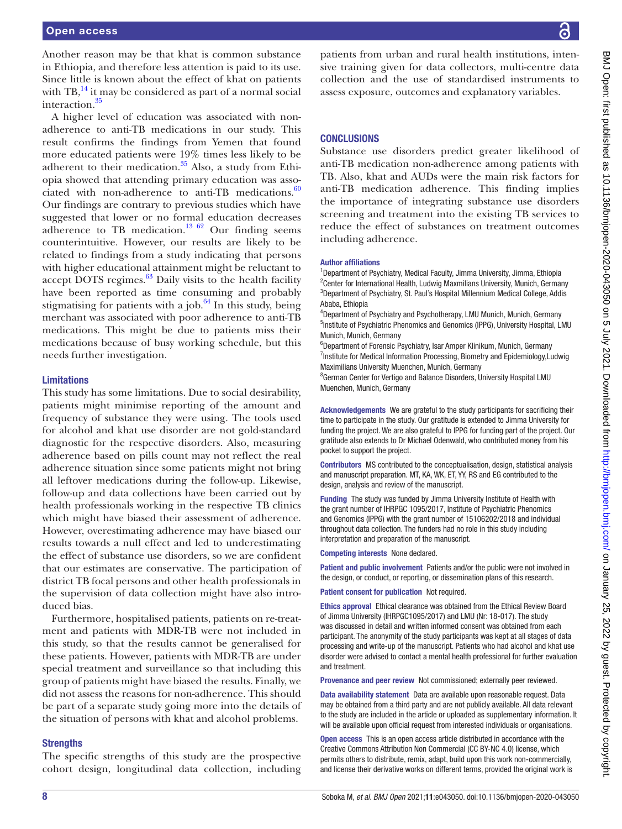Another reason may be that khat is common substance in Ethiopia, and therefore less attention is paid to its use. Since little is known about the effect of khat on patients with  $TB<sub>1</sub><sup>14</sup>$  it may be considered as part of a normal social interaction[.35](#page-8-13)

A higher level of education was associated with nonadherence to anti-TB medications in our study. This result confirms the findings from Yemen that found more educated patients were 19% times less likely to be adherent to their medication. $35$  Also, a study from Ethiopia showed that attending primary education was associated with non-adherence to anti-TB medications. $60$ Our findings are contrary to previous studies which have suggested that lower or no formal education decreases adherence to TB medication.<sup>[13 62](#page-8-4)</sup> Our finding seems counterintuitive. However, our results are likely to be related to findings from a study indicating that persons with higher educational attainment might be reluctant to accept DOTS regimes. $63$  Daily visits to the health facility have been reported as time consuming and probably stigmatising for patients with a job. $64$  In this study, being merchant was associated with poor adherence to anti-TB medications. This might be due to patients miss their medications because of busy working schedule, but this needs further investigation.

## Limitations

This study has some limitations. Due to social desirability, patients might minimise reporting of the amount and frequency of substance they were using. The tools used for alcohol and khat use disorder are not gold-standard diagnostic for the respective disorders. Also, measuring adherence based on pills count may not reflect the real adherence situation since some patients might not bring all leftover medications during the follow-up. Likewise, follow-up and data collections have been carried out by health professionals working in the respective TB clinics which might have biased their assessment of adherence. However, overestimating adherence may have biased our results towards a null effect and led to underestimating the effect of substance use disorders, so we are confident that our estimates are conservative. The participation of district TB focal persons and other health professionals in the supervision of data collection might have also introduced bias.

Furthermore, hospitalised patients, patients on re-treatment and patients with MDR-TB were not included in this study, so that the results cannot be generalised for these patients. However, patients with MDR-TB are under special treatment and surveillance so that including this group of patients might have biased the results. Finally, we did not assess the reasons for non-adherence. This should be part of a separate study going more into the details of the situation of persons with khat and alcohol problems.

## **Strengths**

The specific strengths of this study are the prospective cohort design, longitudinal data collection, including

patients from urban and rural health institutions, intensive training given for data collectors, multi-centre data collection and the use of standardised instruments to assess exposure, outcomes and explanatory variables.

## **CONCLUSIONS**

Substance use disorders predict greater likelihood of anti-TB medication non-adherence among patients with TB. Also, khat and AUDs were the main risk factors for anti-TB medication adherence. This finding implies the importance of integrating substance use disorders screening and treatment into the existing TB services to reduce the effect of substances on treatment outcomes including adherence.

#### Author affiliations

<sup>1</sup>Department of Psychiatry, Medical Faculty, Jimma University, Jimma, Ethiopia <sup>2</sup> Center for International Health, Ludwig Maxmilians University, Munich, Germany <sup>3</sup>Department of Psychiatry, St. Paul's Hospital Millennium Medical College, Addis Ababa, Ethiopia

4 Department of Psychiatry and Psychotherapy, LMU Munich, Munich, Germany <sup>5</sup>Institute of Psychiatric Phenomics and Genomics (IPPG), University Hospital, LMU Munich, Munich, Germany

6 Department of Forensic Psychiatry, Isar Amper Klinikum, Munich, Germany <sup>7</sup>Institute for Medical Information Processing, Biometry and Epidemiology, Ludwig Maximilians University Muenchen, Munich, Germany

<sup>8</sup>German Center for Vertigo and Balance Disorders, University Hospital LMU Muenchen, Munich, Germany

Acknowledgements We are grateful to the study participants for sacrificing their time to participate in the study. Our gratitude is extended to Jimma University for funding the project. We are also grateful to IPPG for funding part of the project. Our gratitude also extends to Dr Michael Odenwald, who contributed money from his pocket to support the project.

Contributors MS contributed to the conceptualisation, design, statistical analysis and manuscript preparation. MT, KA, WK, ET, YY, RS and EG contributed to the design, analysis and review of the manuscript.

Funding The study was funded by Jimma University Institute of Health with the grant number of IHRPGC 1095/2017, Institute of Psychiatric Phenomics and Genomics (IPPG) with the grant number of 15106202/2018 and individual throughout data collection. The funders had no role in this study including interpretation and preparation of the manuscript.

Competing interests None declared.

Patient and public involvement Patients and/or the public were not involved in the design, or conduct, or reporting, or dissemination plans of this research.

#### Patient consent for publication Not required.

Ethics approval Ethical clearance was obtained from the Ethical Review Board of Jimma University (IHRPGC1095/2017) and LMU (Nr: 18-017). The study was discussed in detail and written informed consent was obtained from each participant. The anonymity of the study participants was kept at all stages of data processing and write-up of the manuscript. Patients who had alcohol and khat use disorder were advised to contact a mental health professional for further evaluation and treatment.

Provenance and peer review Not commissioned; externally peer reviewed.

Data availability statement Data are available upon reasonable request. Data may be obtained from a third party and are not publicly available. All data relevant to the study are included in the article or uploaded as supplementary information. It will be available upon official request from interested individuals or organisations.

Open access This is an open access article distributed in accordance with the Creative Commons Attribution Non Commercial (CC BY-NC 4.0) license, which permits others to distribute, remix, adapt, build upon this work non-commercially, and license their derivative works on different terms, provided the original work is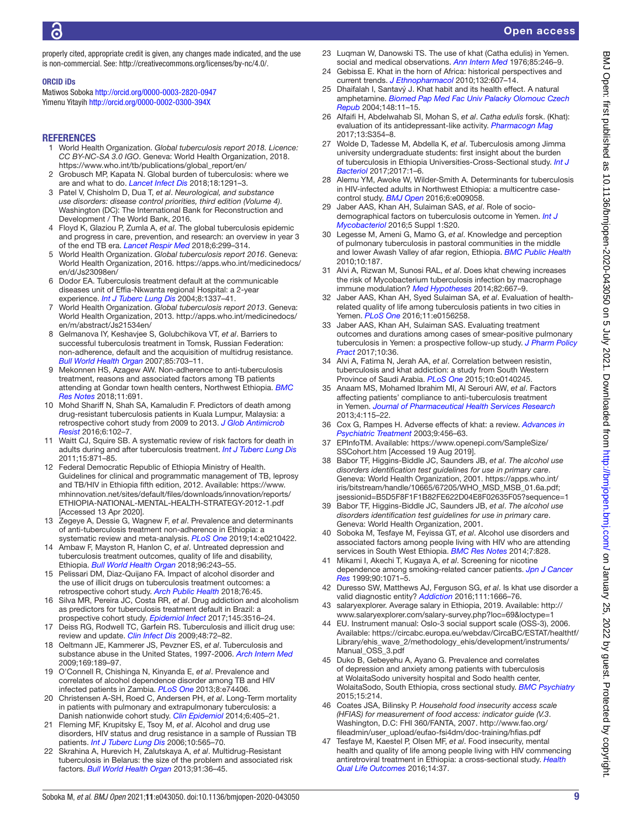properly cited, appropriate credit is given, any changes made indicated, and the use is non-commercial. See: [http://creativecommons.org/licenses/by-nc/4.0/.](http://creativecommons.org/licenses/by-nc/4.0/)

#### ORCID iDs

Matiwos Soboka<http://orcid.org/0000-0003-2820-0947> Yimenu Yitayih<http://orcid.org/0000-0002-0300-394X>

#### **REFERENCES**

- <span id="page-8-0"></span>1 World Health Organization. *Global tuberculosis report 2018. Licence: CC BY-NC-SA 3.0 IGO*. Geneva: World Health Organization, 2018. [https://www.who.int/tb/publications/global\\_report/en/](https://www.who.int/tb/publications/global_report/en/)
- 2 Grobusch MP, Kapata N. Global burden of tuberculosis: where we are and what to do. *[Lancet Infect Dis](http://dx.doi.org/10.1016/S1473-3099(18)30654-6)* 2018;18:1291–3.
- 3 Patel V, Chisholm D, Dua T, *et al*. *Neurological, and substance use disorders: disease control priorities, third edition (Volume 4)*. Washington (DC): The International Bank for Reconstruction and Development / The World Bank, 2016.
- 4 Floyd K, Glaziou P, Zumla A, *et al*. The global tuberculosis epidemic and progress in care, prevention, and research: an overview in year 3 of the end TB era. *[Lancet Respir Med](http://dx.doi.org/10.1016/S2213-2600(18)30057-2)* 2018;6:299–314.
- 5 World Health Organization. *Global tuberculosis report 2016*. Geneva: World Health Organization, 2016. [https://apps.who.int/medicinedocs/](https://apps.who.int/medicinedocs/en/d/Js23098en/) [en/d/Js23098en/](https://apps.who.int/medicinedocs/en/d/Js23098en/)
- 6 Dodor EA. Tuberculosis treatment default at the communicable diseases unit of Effia-Nkwanta regional Hospital: a 2-year experience. *[Int J Tuberc Lung Dis](http://www.ncbi.nlm.nih.gov/pubmed/15581202)* 2004;8:1337–41.
- 7 World Health Organization. *Global tuberculosis report 2013*. Geneva: World Health Organization, 2013. [http://apps.who.int/medicinedocs/](http://apps.who.int/medicinedocs/en/m/abstract/Js21534en/) [en/m/abstract/Js21534en/](http://apps.who.int/medicinedocs/en/m/abstract/Js21534en/)
- <span id="page-8-1"></span>8 Gelmanova IY, Keshavjee S, Golubchikova VT, *et al*. Barriers to successful tuberculosis treatment in Tomsk, Russian Federation: non-adherence, default and the acquisition of multidrug resistance. *[Bull World Health Organ](http://dx.doi.org/10.2471/blt.06.038331)* 2007;85:703–11.
- <span id="page-8-25"></span>9 Mekonnen HS, Azagew AW. Non-adherence to anti-tuberculosis treatment, reasons and associated factors among TB patients attending at Gondar town health centers, Northwest Ethiopia. *[BMC](http://dx.doi.org/10.1186/s13104-018-3789-4)  [Res Notes](http://dx.doi.org/10.1186/s13104-018-3789-4)* 2018;11:691.
- <span id="page-8-2"></span>10 Mohd Shariff N, Shah SA, Kamaludin F. Predictors of death among drug-resistant tuberculosis patients in Kuala Lumpur, Malaysia: a retrospective cohort study from 2009 to 2013. *[J Glob Antimicrob](http://dx.doi.org/10.1016/j.jgar.2016.04.005)  [Resist](http://dx.doi.org/10.1016/j.jgar.2016.04.005)* 2016;6:102–7.
- 11 Waitt CJ, Squire SB. A systematic review of risk factors for death in adults during and after tuberculosis treatment. *[Int J Tuberc Lung Dis](http://dx.doi.org/10.5588/ijtld.10.0352)* 2011;15:871–85.
- <span id="page-8-3"></span>12 Federal Democratic Republic of Ethiopia Ministry of Health. Guidelines for clinical and programmatic management of TB, leprosy and TB/HIV in Ethiopia fifth edition, 2012. Available: [https://www.](https://www.mhinnovation.net/sites/default/files/downloads/innovation/reports/ETHIOPIA-NATIONAL-MENTAL-HEALTH-STRATEGY-2012-1.pdf) [mhinnovation.net/sites/default/files/downloads/innovation/reports/](https://www.mhinnovation.net/sites/default/files/downloads/innovation/reports/ETHIOPIA-NATIONAL-MENTAL-HEALTH-STRATEGY-2012-1.pdf) [ETHIOPIA-NATIONAL-MENTAL-HEALTH-STRATEGY-2012-1.pdf](https://www.mhinnovation.net/sites/default/files/downloads/innovation/reports/ETHIOPIA-NATIONAL-MENTAL-HEALTH-STRATEGY-2012-1.pdf)  [Accessed 13 Apr 2020].
- <span id="page-8-4"></span>13 Zegeye A, Dessie G, Wagnew F, *et al*. Prevalence and determinants of anti-tuberculosis treatment non-adherence in Ethiopia: a systematic review and meta-analysis. *[PLoS One](http://dx.doi.org/10.1371/journal.pone.0210422)* 2019;14:e0210422.
- <span id="page-8-10"></span>14 Ambaw F, Mayston R, Hanlon C, *et al*. Untreated depression and tuberculosis treatment outcomes, quality of life and disability, Ethiopia. *[Bull World Health Organ](http://dx.doi.org/10.2471/BLT.17.192658)* 2018;96:243–55.
- 15 Pelissari DM, Diaz-Quijano FA. Impact of alcohol disorder and the use of illicit drugs on tuberculosis treatment outcomes: a retrospective cohort study. *[Arch Public Health](http://dx.doi.org/10.1186/s13690-018-0287-z)* 2018;76:45.
- 16 Silva MR, Pereira JC, Costa RR, *et al*. Drug addiction and alcoholism as predictors for tuberculosis treatment default in Brazil: a prospective cohort study. *[Epidemiol Infect](http://dx.doi.org/10.1017/S0950268817002631)* 2017;145:3516–24.
- <span id="page-8-5"></span>17 Deiss RG, Rodwell TC, Garfein RS. Tuberculosis and illicit drug use: review and update. *[Clin Infect Dis](http://dx.doi.org/10.1086/594126)* 2009;48:72–82.
- 18 Oeltmann JE, Kammerer JS, Pevzner ES, *et al*. Tuberculosis and substance abuse in the United States, 1997-2006. *[Arch Intern Med](http://dx.doi.org/10.1001/archinternmed.2008.535)* 2009;169:189–97.
- 19 O'Connell R, Chishinga N, Kinyanda E, *et al*. Prevalence and correlates of alcohol dependence disorder among TB and HIV infected patients in Zambia. *[PLoS One](http://dx.doi.org/10.1371/journal.pone.0074406)* 2013;8:e74406.
- <span id="page-8-6"></span>20 Christensen A-SH, Roed C, Andersen PH, *et al*. Long-Term mortality in patients with pulmonary and extrapulmonary tuberculosis: a Danish nationwide cohort study. *[Clin Epidemiol](http://dx.doi.org/10.2147/CLEP.S65331)* 2014;6:405–21.
- <span id="page-8-7"></span>21 Fleming MF, Krupitsky E, Tsoy M, *et al*. Alcohol and drug use disorders, HIV status and drug resistance in a sample of Russian TB patients. *[Int J Tuberc Lung Dis](http://www.ncbi.nlm.nih.gov/pubmed/16704041)* 2006;10:565–70.
- 22 Skrahina A, Hurevich H, Zalutskaya A, *et al*. Multidrug-Resistant tuberculosis in Belarus: the size of the problem and associated risk factors. *[Bull World Health Organ](http://dx.doi.org/10.2471/BLT.12.104588)* 2013;91:36–45.
- <span id="page-8-8"></span>23 Luqman W, Danowski TS. The use of khat (Catha edulis) in Yemen. social and medical observations. *[Ann Intern Med](http://dx.doi.org/10.7326/0003-4819-85-2-246)* 1976;85:246–9.
- Gebissa E. Khat in the horn of Africa: historical perspectives and current trends. *[J Ethnopharmacol](http://dx.doi.org/10.1016/j.jep.2010.01.063)* 2010;132:607–14.
- 25 Dhaifalah I, Santavý J. Khat habit and its health effect. A natural amphetamine. *[Biomed Pap Med Fac Univ Palacky Olomouc Czech](http://dx.doi.org/10.5507/bp.2004.002)  [Repub](http://dx.doi.org/10.5507/bp.2004.002)* 2004;148:11–15.
- 26 Alfaifi H, Abdelwahab SI, Mohan S, *et al*. *Catha edulis* forsk. (Khat): evaluation of its antidepressant-like activity. *[Pharmacogn Mag](http://dx.doi.org/10.4103/pm.pm_442_16)* 2017;13:S354–8.
- <span id="page-8-9"></span>27 Wolde D, Tadesse M, Abdella K, *et al*. Tuberculosis among Jimma university undergraduate students: first insight about the burden of tuberculosis in Ethiopia Universities-Cross-Sectional study. *[Int J](http://dx.doi.org/10.1155/2017/9840670)  [Bacteriol](http://dx.doi.org/10.1155/2017/9840670)* 2017;2017:1–6.
- 28 Alemu YM, Awoke W, Wilder-Smith A. Determinants for tuberculosis in HIV-infected adults in Northwest Ethiopia: a multicentre casecontrol study. *[BMJ Open](http://dx.doi.org/10.1136/bmjopen-2015-009058)* 2016;6:e009058.
- 29 Jaber AAS, Khan AH, Sulaiman SAS, *et al*. Role of sociodemographical factors on tuberculosis outcome in Yemen. *[Int J](http://dx.doi.org/10.1016/j.ijmyco.2016.09.008)  [Mycobacteriol](http://dx.doi.org/10.1016/j.ijmyco.2016.09.008)* 2016;5 Suppl 1:S20.
- 30 Legesse M, Ameni G, Mamo G, *et al*. Knowledge and perception of pulmonary tuberculosis in pastoral communities in the middle and lower Awash Valley of afar region, Ethiopia. *[BMC Public Health](http://dx.doi.org/10.1186/1471-2458-10-187)* 2010;10:187.
- 31 Alvi A, Rizwan M, Sunosi RAL, *et al*. Does khat chewing increases the risk of Mycobacterium tuberculosis infection by macrophage immune modulation? *[Med Hypotheses](http://dx.doi.org/10.1016/j.mehy.2014.02.026)* 2014;82:667–9.
- 32 Jaber AAS, Khan AH, Syed Sulaiman SA, *et al*. Evaluation of healthrelated quality of life among tuberculosis patients in two cities in Yemen. *[PLoS One](http://dx.doi.org/10.1371/journal.pone.0156258)* 2016;11:e0156258.
- <span id="page-8-11"></span>33 Jaber AAS, Khan AH, Sulaiman SAS. Evaluating treatment outcomes and durations among cases of smear-positive pulmonary tuberculosis in Yemen: a prospective follow-up study. *[J Pharm Policy](http://dx.doi.org/10.1186/s40545-017-0124-8)  [Pract](http://dx.doi.org/10.1186/s40545-017-0124-8)* 2017;10:36.
- <span id="page-8-12"></span>34 Alvi A, Fatima N, Jerah AA, *et al*. Correlation between resistin, tuberculosis and khat addiction: a study from South Western Province of Saudi Arabia. *[PLoS One](http://dx.doi.org/10.1371/journal.pone.0140245)* 2015;10:e0140245.
- <span id="page-8-13"></span>35 Anaam MS, Mohamed Ibrahim MI, Al Serouri AW, *et al*. Factors affecting patients' compliance to anti-tuberculosis treatment in Yemen. *[Journal of Pharmaceutical Health Services Research](http://dx.doi.org/10.1111/jphs.12012)* 2013;4:115–22.
- 36 Cox G, Rampes H. Adverse effects of khat: a review. *[Advances in](http://dx.doi.org/10.1192/apt.9.6.456)  [Psychiatric Treatment](http://dx.doi.org/10.1192/apt.9.6.456)* 2003;9:456–63.
- <span id="page-8-14"></span>37 EPInfoTM. Available: [https://www.openepi.com/SampleSize/](https://www.openepi.com/SampleSize/SSCohort.htm) [SSCohort.htm](https://www.openepi.com/SampleSize/SSCohort.htm) [Accessed 19 Aug 2019].
- <span id="page-8-15"></span>38 Babor TF, Higgins-Biddle JC, Saunders JB, *et al*. *The alcohol use disorders identification test guidelines for use in primary care*. Geneva: World Health Organization, 2001. [https://apps.who.int/](https://apps.who.int/iris/bitstream/handle/10665/67205/WHO_MSD_MSB_01.6a.pdf;jsessionid=B5D5F8F1F1B82FE622D04E8F02635F05?sequence=1) [iris/bitstream/handle/10665/67205/WHO\\_MSD\\_MSB\\_01.6a.pdf;](https://apps.who.int/iris/bitstream/handle/10665/67205/WHO_MSD_MSB_01.6a.pdf;jsessionid=B5D5F8F1F1B82FE622D04E8F02635F05?sequence=1) [jsessionid=B5D5F8F1F1B82FE622D04E8F02635F05?sequence=1](https://apps.who.int/iris/bitstream/handle/10665/67205/WHO_MSD_MSB_01.6a.pdf;jsessionid=B5D5F8F1F1B82FE622D04E8F02635F05?sequence=1)
- <span id="page-8-16"></span>39 Babor TF, Higgins-Biddle JC, Saunders JB, *et al*. *The alcohol use disorders identification test guidelines for use in primary care*. Geneva: World Health Organization, 2001.
- <span id="page-8-17"></span>40 Soboka M, Tesfaye M, Feyissa GT, *et al*. Alcohol use disorders and associated factors among people living with HIV who are attending services in South West Ethiopia. *[BMC Res Notes](http://dx.doi.org/10.1186/1756-0500-7-828)* 2014;7:828.
- <span id="page-8-18"></span>41 Mikami I, Akechi T, Kugaya A, *et al*. Screening for nicotine dependence among smoking-related cancer patients. *[Jpn J Cancer](http://dx.doi.org/10.1111/j.1349-7006.1999.tb00679.x)  [Res](http://dx.doi.org/10.1111/j.1349-7006.1999.tb00679.x)* 1999;90:1071–5.
- <span id="page-8-19"></span>42 Duresso SW, Matthews AJ, Ferguson SG, *et al*. Is khat use disorder a valid diagnostic entity? *[Addiction](http://dx.doi.org/10.1111/add.13421)* 2016;111:1666–76.
- <span id="page-8-20"></span>43 salaryexplorer. Average salary in Ethiopia, 2019. Available: [http://](http://www.salaryexplorer.com/salary-survey.php?loc=69&loctype=1) [www.salaryexplorer.com/salary-survey.php?loc=69&loctype=1](http://www.salaryexplorer.com/salary-survey.php?loc=69&loctype=1)
- <span id="page-8-21"></span>44 EU. Instrument manual: Oslo‐3 social support scale (OSS‐3), 2006. Available: [https://circabc.europa.eu/webdav/CircaBC/ESTAT/healthtf/](https://circabc.europa.eu/webdav/CircaBC/ESTAT/healthtf/Library/ehis_wave_2/methodology_ehis/development/instruments/Manual_OSS_3.pdf) [Library/ehis\\_wave\\_2/methodology\\_ehis/development/instruments/](https://circabc.europa.eu/webdav/CircaBC/ESTAT/healthtf/Library/ehis_wave_2/methodology_ehis/development/instruments/Manual_OSS_3.pdf) [Manual\\_OSS\\_3.pdf](https://circabc.europa.eu/webdav/CircaBC/ESTAT/healthtf/Library/ehis_wave_2/methodology_ehis/development/instruments/Manual_OSS_3.pdf)
- <span id="page-8-22"></span>45 Duko B, Gebeyehu A, Ayano G. Prevalence and correlates of depression and anxiety among patients with tuberculosis at WolaitaSodo university hospital and Sodo health center, WolaitaSodo, South Ethiopia, cross sectional study. *[BMC Psychiatry](http://dx.doi.org/10.1186/s12888-015-0598-3)* 2015;15:214.
- <span id="page-8-23"></span>46 Coates JSA, Bilinsky P. *Household food insecurity access scale (HFIAS) for measurement of food access: indicator guide (V.3*. Washington, D.C: FHI 360/FANTA, 2007. [http://www.fao.org/](http://www.fao.org/fileadmin/user_upload/eufao-fsi4dm/doc-training/hfias.pdf) [fileadmin/user\\_upload/eufao-fsi4dm/doc-training/hfias.pdf](http://www.fao.org/fileadmin/user_upload/eufao-fsi4dm/doc-training/hfias.pdf)
- <span id="page-8-24"></span>47 Tesfaye M, Kaestel P, Olsen MF, *et al*. Food insecurity, mental health and quality of life among people living with HIV commencing antiretroviral treatment in Ethiopia: a cross-sectional study. *[Health](http://dx.doi.org/10.1186/s12955-016-0440-8)  [Qual Life Outcomes](http://dx.doi.org/10.1186/s12955-016-0440-8)* 2016;14:37.